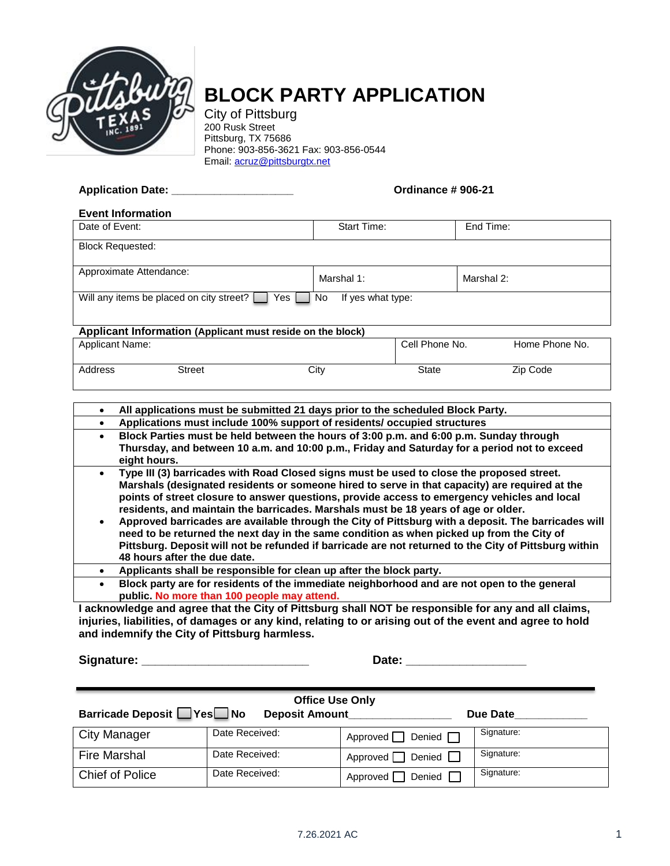

## **BLOCK PARTY APPLICATION**

City of Pittsburg 200 Rusk Street Pittsburg, TX 75686 Phone: 903-856-3621 Fax: 903-856-0544 Email: [acruz@pittsburgtx.net](mailto:acruz@pittsburgtx.net)

**Application Date: \_\_\_\_\_\_\_\_\_\_\_\_\_\_\_\_\_\_\_\_ Ordinance # 906-21**

| <b>Event Information</b>                                                      |               |             |                |            |                |  |  |
|-------------------------------------------------------------------------------|---------------|-------------|----------------|------------|----------------|--|--|
| Date of Event:                                                                |               | Start Time: |                | End Time:  |                |  |  |
| <b>Block Requested:</b>                                                       |               |             |                |            |                |  |  |
| Approximate Attendance:                                                       |               | Marshal 1:  |                | Marshal 2: |                |  |  |
| Will any items be placed on city street?<br>No.<br>If yes what type:<br>Yes I |               |             |                |            |                |  |  |
| Applicant Information (Applicant must reside on the block)                    |               |             |                |            |                |  |  |
| <b>Applicant Name:</b>                                                        |               |             | Cell Phone No. |            | Home Phone No. |  |  |
| Address                                                                       | <b>Street</b> | City        | <b>State</b>   |            | Zip Code       |  |  |

|           | All applications must be submitted 21 days prior to the scheduled Block Party.                                                                                                                                                                                                                                                                                                                                                                                                                                                                                                                                                                                                                                                 |
|-----------|--------------------------------------------------------------------------------------------------------------------------------------------------------------------------------------------------------------------------------------------------------------------------------------------------------------------------------------------------------------------------------------------------------------------------------------------------------------------------------------------------------------------------------------------------------------------------------------------------------------------------------------------------------------------------------------------------------------------------------|
|           | Applications must include 100% support of residents/ occupied structures                                                                                                                                                                                                                                                                                                                                                                                                                                                                                                                                                                                                                                                       |
| $\bullet$ | Block Parties must be held between the hours of 3:00 p.m. and 6:00 p.m. Sunday through<br>Thursday, and between 10 a.m. and 10:00 p.m., Friday and Saturday for a period not to exceed<br>eight hours.                                                                                                                                                                                                                                                                                                                                                                                                                                                                                                                         |
| $\bullet$ | Type III (3) barricades with Road Closed signs must be used to close the proposed street.<br>Marshals (designated residents or someone hired to serve in that capacity) are required at the<br>points of street closure to answer questions, provide access to emergency vehicles and local<br>residents, and maintain the barricades. Marshals must be 18 years of age or older.<br>Approved barricades are available through the City of Pittsburg with a deposit. The barricades will<br>need to be returned the next day in the same condition as when picked up from the City of<br>Pittsburg. Deposit will not be refunded if barricade are not returned to the City of Pittsburg within<br>48 hours after the due date. |
|           | Applicants shall be responsible for clean up after the block party.                                                                                                                                                                                                                                                                                                                                                                                                                                                                                                                                                                                                                                                            |
| $\bullet$ | Block party are for residents of the immediate neighborhood and are not open to the general<br>public. No more than 100 people may attend.                                                                                                                                                                                                                                                                                                                                                                                                                                                                                                                                                                                     |
|           |                                                                                                                                                                                                                                                                                                                                                                                                                                                                                                                                                                                                                                                                                                                                |

**I acknowledge and agree that the City of Pittsburg shall NOT be responsible for any and all claims, injuries, liabilities, of damages or any kind, relating to or arising out of the event and agree to hold and indemnify the City of Pittsburg harmless.** 

**Signature: \_\_\_\_\_\_\_\_\_\_\_\_\_\_\_\_\_\_\_\_\_\_\_\_\_ Date: \_\_\_\_\_\_\_\_\_\_\_\_\_\_\_\_\_\_**

| <b>Office Use Only</b>      |                       |                               |            |  |  |  |  |  |
|-----------------------------|-----------------------|-------------------------------|------------|--|--|--|--|--|
| Barricade Deposit □ Yes□ No | <b>Deposit Amount</b> |                               | Due Date   |  |  |  |  |  |
| <b>City Manager</b>         | Date Received:        | Approved $\Box$ Denied $\Box$ | Signature: |  |  |  |  |  |
| <b>Fire Marshal</b>         | Date Received:        | Approved $\Box$ Denied $\Box$ | Signature: |  |  |  |  |  |
| Chief of Police             | Date Received:        | Denied<br>Approved I          | Signature: |  |  |  |  |  |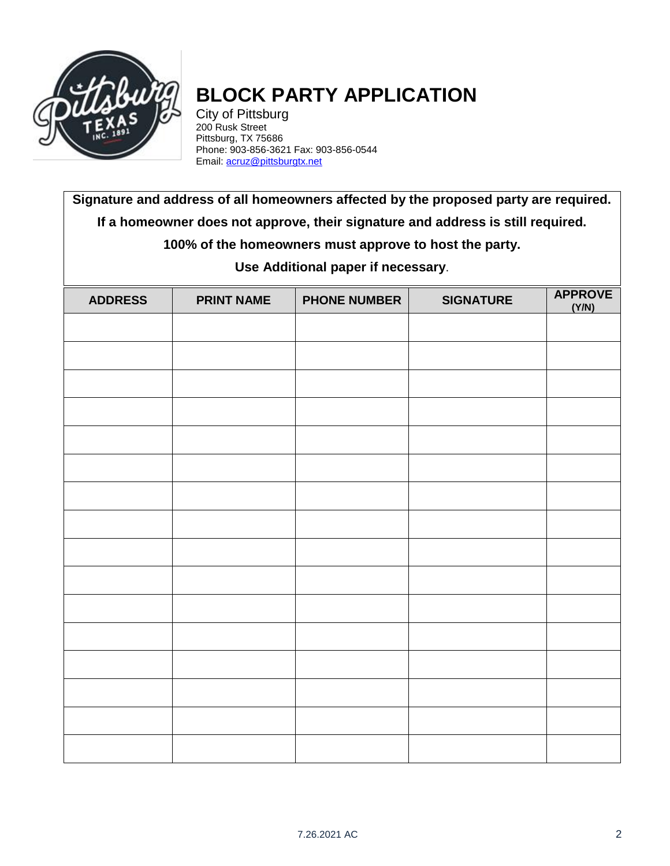

## **BLOCK PARTY APPLICATION**

City of Pittsburg 200 Rusk Street Pittsburg, TX 75686 Phone: 903-856-3621 Fax: 903-856-0544 Email[: acruz@pittsburgtx.net](mailto:acruz@pittsburgtx.net)

**Signature and address of all homeowners affected by the proposed party are required. If a homeowner does not approve, their signature and address is still required.**

**100% of the homeowners must approve to host the party.**

**Use Additional paper if necessary**.

| <b>ADDRESS</b> | <b>PRINT NAME</b> | <b>PHONE NUMBER</b> | <b>SIGNATURE</b> | <b>APPROVE</b><br>(Y/N) |
|----------------|-------------------|---------------------|------------------|-------------------------|
|                |                   |                     |                  |                         |
|                |                   |                     |                  |                         |
|                |                   |                     |                  |                         |
|                |                   |                     |                  |                         |
|                |                   |                     |                  |                         |
|                |                   |                     |                  |                         |
|                |                   |                     |                  |                         |
|                |                   |                     |                  |                         |
|                |                   |                     |                  |                         |
|                |                   |                     |                  |                         |
|                |                   |                     |                  |                         |
|                |                   |                     |                  |                         |
|                |                   |                     |                  |                         |
|                |                   |                     |                  |                         |
|                |                   |                     |                  |                         |
|                |                   |                     |                  |                         |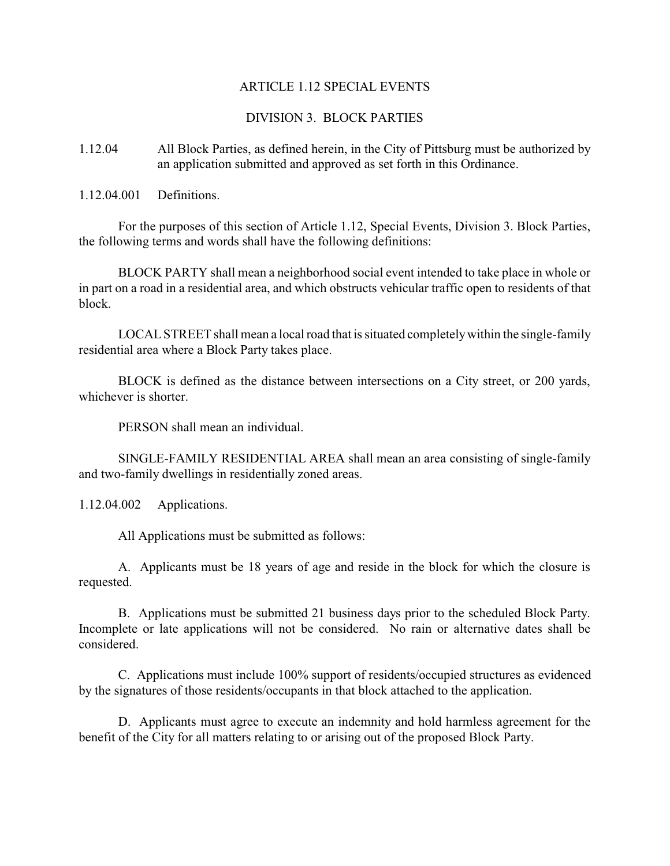## ARTICLE 1.12 SPECIAL EVENTS

## DIVISION 3. BLOCK PARTIES

1.12.04 All Block Parties, as defined herein, in the City of Pittsburg must be authorized by an application submitted and approved as set forth in this Ordinance.

1.12.04.001 Definitions.

For the purposes of this section of Article 1.12, Special Events, Division 3. Block Parties, the following terms and words shall have the following definitions:

BLOCK PARTY shall mean a neighborhood social event intended to take place in whole or in part on a road in a residential area, and which obstructs vehicular traffic open to residents of that block.

LOCAL STREET shall mean a local road that is situated completely within the single-family residential area where a Block Party takes place.

BLOCK is defined as the distance between intersections on a City street, or 200 yards, whichever is shorter.

PERSON shall mean an individual.

SINGLE-FAMILY RESIDENTIAL AREA shall mean an area consisting of single-family and two-family dwellings in residentially zoned areas.

1.12.04.002 Applications.

All Applications must be submitted as follows:

A. Applicants must be 18 years of age and reside in the block for which the closure is requested.

B. Applications must be submitted 21 business days prior to the scheduled Block Party. Incomplete or late applications will not be considered. No rain or alternative dates shall be considered.

C. Applications must include 100% support of residents/occupied structures as evidenced by the signatures of those residents/occupants in that block attached to the application.

D. Applicants must agree to execute an indemnity and hold harmless agreement for the benefit of the City for all matters relating to or arising out of the proposed Block Party.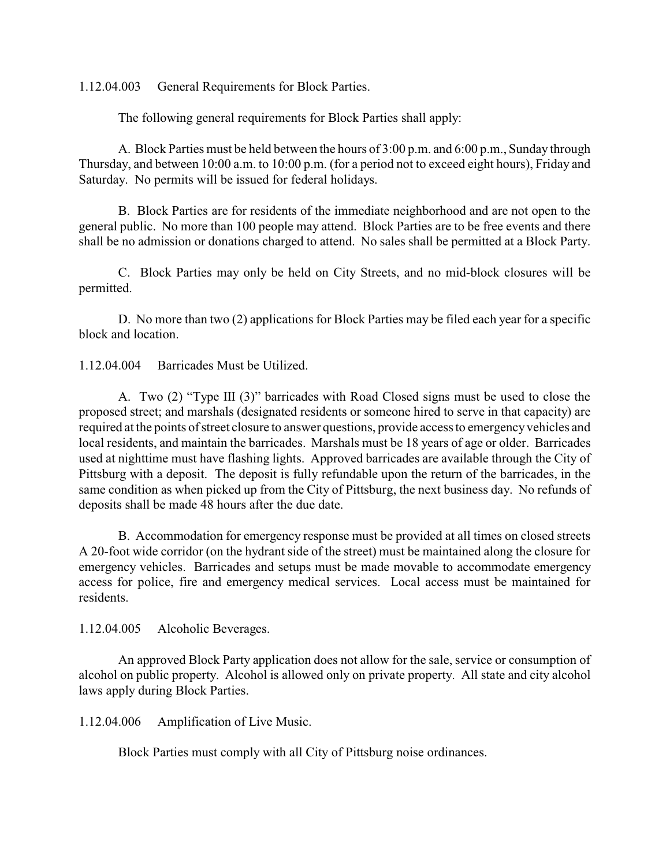1.12.04.003 General Requirements for Block Parties.

The following general requirements for Block Parties shall apply:

A. Block Parties must be held between the hours of 3:00 p.m. and 6:00 p.m., Sunday through Thursday, and between 10:00 a.m. to 10:00 p.m. (for a period not to exceed eight hours), Friday and Saturday. No permits will be issued for federal holidays.

B. Block Parties are for residents of the immediate neighborhood and are not open to the general public. No more than 100 people may attend. Block Parties are to be free events and there shall be no admission or donations charged to attend. No sales shall be permitted at a Block Party.

C. Block Parties may only be held on City Streets, and no mid-block closures will be permitted.

D. No more than two (2) applications for Block Parties may be filed each year for a specific block and location.

1.12.04.004 Barricades Must be Utilized.

A. Two (2) "Type III (3)" barricades with Road Closed signs must be used to close the proposed street; and marshals (designated residents or someone hired to serve in that capacity) are required at the points of street closure to answer questions, provide access to emergency vehicles and local residents, and maintain the barricades. Marshals must be 18 years of age or older. Barricades used at nighttime must have flashing lights. Approved barricades are available through the City of Pittsburg with a deposit. The deposit is fully refundable upon the return of the barricades, in the same condition as when picked up from the City of Pittsburg, the next business day. No refunds of deposits shall be made 48 hours after the due date.

B. Accommodation for emergency response must be provided at all times on closed streets A 20-foot wide corridor (on the hydrant side of the street) must be maintained along the closure for emergency vehicles. Barricades and setups must be made movable to accommodate emergency access for police, fire and emergency medical services. Local access must be maintained for residents.

1.12.04.005 Alcoholic Beverages.

An approved Block Party application does not allow for the sale, service or consumption of alcohol on public property. Alcohol is allowed only on private property. All state and city alcohol laws apply during Block Parties.

1.12.04.006 Amplification of Live Music.

Block Parties must comply with all City of Pittsburg noise ordinances.